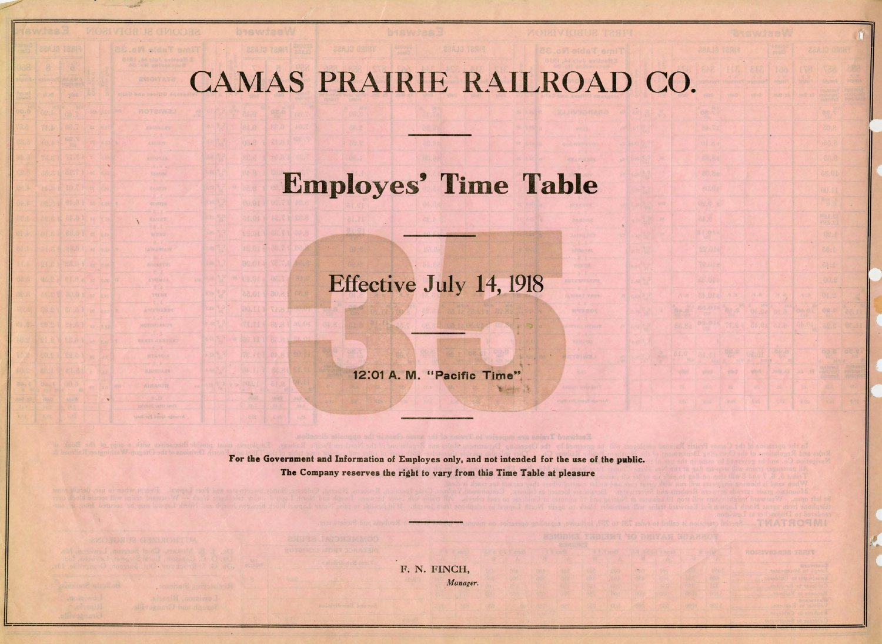## CAMAS PRAIRIE RAILROAD CO.

## Employes' Time Table

## Effective July 14, 1918

12:01 A. M. "Pacific Time"

The Contractor

For the Government and Information of Employes only. and not intended for the use of the public. The Company reserves the right to vary from this Time Table at pleasure

enge Spring Per H

F. N. FINCH, *Manager.*